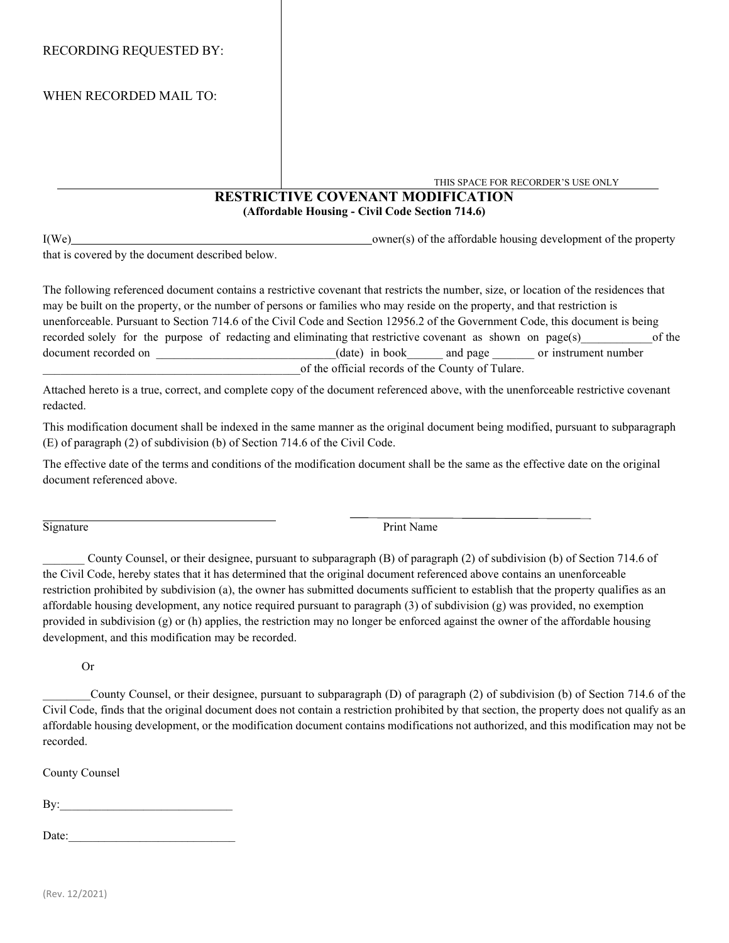## WHEN RECORDED MAIL TO:

THIS SPACE FOR RECORDER'S USE ONLY

## **RESTRICTIVE COVENANT MODIFICATION (Affordable Housing - Civil Code Section 714.6)**

I(We) owner(s) of the affordable housing development of the property

that is covered by the document described below.

The following referenced document contains a restrictive covenant that restricts the number, size, or location of the residences that may be built on the property, or the number of persons or families who may reside on the property, and that restriction is unenforceable. Pursuant to Section 714.6 of the Civil Code and Section 12956.2 of the Government Code, this document is being recorded solely for the purpose of redacting and eliminating that restrictive covenant as shown on page(s) of the document recorded on  $_1$  (date) in book\_\_\_\_\_\_ and page \_\_\_\_\_\_ or instrument number \_\_\_\_\_\_\_\_\_\_\_\_\_\_\_\_\_\_\_\_\_\_\_\_\_\_\_\_\_\_\_\_\_\_\_\_\_\_\_\_\_\_\_of the official records of the County of Tulare.

Attached hereto is a true, correct, and complete copy of the document referenced above, with the unenforceable restrictive covenant redacted.

This modification document shall be indexed in the same manner as the original document being modified, pursuant to subparagraph (E) of paragraph (2) of subdivision (b) of Section 714.6 of the Civil Code.

The effective date of the terms and conditions of the modification document shall be the same as the effective date on the original document referenced above.

Signature Print Name

\_\_\_\_\_\_\_ County Counsel, or their designee, pursuant to subparagraph (B) of paragraph (2) of subdivision (b) of Section 714.6 of the Civil Code, hereby states that it has determined that the original document referenced above contains an unenforceable restriction prohibited by subdivision (a), the owner has submitted documents sufficient to establish that the property qualifies as an affordable housing development, any notice required pursuant to paragraph (3) of subdivision (g) was provided, no exemption provided in subdivision (g) or (h) applies, the restriction may no longer be enforced against the owner of the affordable housing development, and this modification may be recorded.

Or

\_\_\_\_\_\_\_\_County Counsel, or their designee, pursuant to subparagraph (D) of paragraph (2) of subdivision (b) of Section 714.6 of the Civil Code, finds that the original document does not contain a restriction prohibited by that section, the property does not qualify as an affordable housing development, or the modification document contains modifications not authorized, and this modification may not be recorded.

County Counsel

 $\mathbf{B} \mathbf{y}$ :

Date: